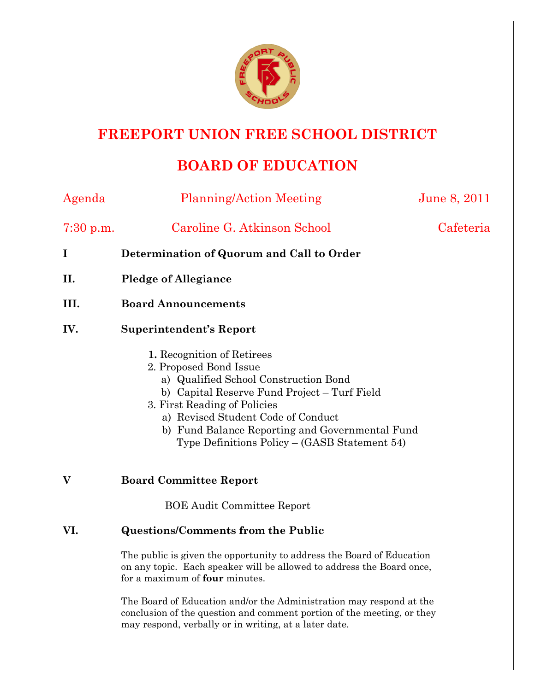

## **FREEPORT UNION FREE SCHOOL DISTRICT**

# **BOARD OF EDUCATION**

| Agenda      | <b>Planning/Action Meeting</b>                                                                                                                                                                                                                                                                                            | June 8, 2011 |
|-------------|---------------------------------------------------------------------------------------------------------------------------------------------------------------------------------------------------------------------------------------------------------------------------------------------------------------------------|--------------|
| $7:30$ p.m. | Caroline G. Atkinson School                                                                                                                                                                                                                                                                                               | Cafeteria    |
| $\bf{I}$    | Determination of Quorum and Call to Order                                                                                                                                                                                                                                                                                 |              |
| II.         | <b>Pledge of Allegiance</b>                                                                                                                                                                                                                                                                                               |              |
| III.        | <b>Board Announcements</b>                                                                                                                                                                                                                                                                                                |              |
| IV.         | <b>Superintendent's Report</b>                                                                                                                                                                                                                                                                                            |              |
|             | 1. Recognition of Retirees<br>2. Proposed Bond Issue<br>a) Qualified School Construction Bond<br>b) Capital Reserve Fund Project – Turf Field<br>3. First Reading of Policies<br>a) Revised Student Code of Conduct<br>b) Fund Balance Reporting and Governmental Fund<br>Type Definitions $Policy - (GASB Statement 54)$ |              |
| V           | <b>Board Committee Report</b>                                                                                                                                                                                                                                                                                             |              |
|             | <b>BOE Audit Committee Report</b>                                                                                                                                                                                                                                                                                         |              |

## **VI. Questions/Comments from the Public**

The public is given the opportunity to address the Board of Education on any topic. Each speaker will be allowed to address the Board once, for a maximum of **four** minutes.

The Board of Education and/or the Administration may respond at the conclusion of the question and comment portion of the meeting, or they may respond, verbally or in writing, at a later date.